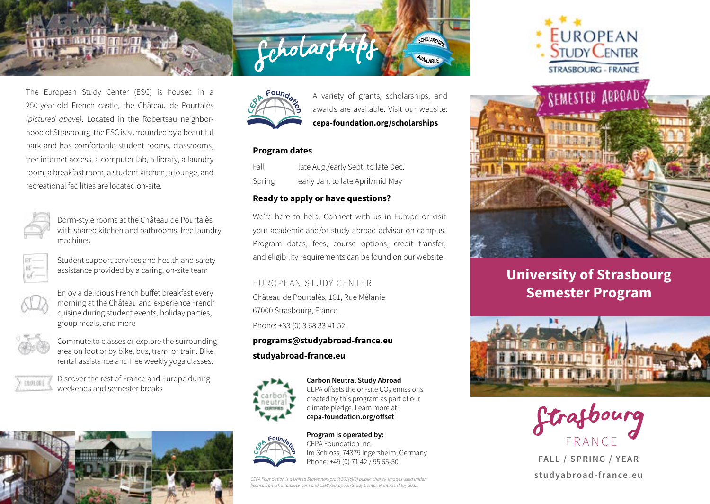The European Study Center (ESC) is housed in a 250-year-old French castle, the Château de Pourtalès *(pictured above)*. Located in the Robertsau neighborhood of Strasbourg, the ESC is surrounded by a beautiful park and has comfortable student rooms, classrooms, free internet access, a computer lab, a library, a laundry room, a breakfast room, a student kitchen, a lounge, and recreational facilities are located on-site.



Dorm-style rooms at the Château de Pourtalès with shared kitchen and bathrooms, free laundry machines



Student support services and health and safety assistance provided by a caring, on-site team



Enjoy a delicious French buffet breakfast every morning at the Château and experience French cuisine during student events, holiday parties, group meals, and more



Commute to classes or explore the surrounding area on foot or by bike, bus, tram, or train. Bike rental assistance and free weekly yoga classes.



Discover the rest of France and Europe during weekends and semester breaks





A variety of grants, scholarships, and awards are available. Visit our website: **cepa-foundation.org/scholarships**

**CHOLARCA** 

AVAILABLE

# **Program dates**

Fall late Aug./early Sept. to late Dec. Spring early Jan. to late April/mid May

# **Ready to apply or have questions?**

Ccholarfhi

We're here to help. Connect with us in Europe or visit your academic and/or study abroad advisor on campus. Program dates, fees, course options, credit transfer, and eligibility requirements can be found on our website.

## EUROPEAN STUDY CENTER

Château de Pourtalès, 161, Rue Mélanie 67000 Strasbourg, France Phone: +33 (0) 3 68 33 41 52

# **programs@studyabroad-france.eu studyabroad-france.eu**



**Carbon Neutral Study Abroad** CEPA offsets the on-site CO₂ emissions created by this program as part of our climate pledge. Learn more at: **cepa-foundation.org/offset**



**Program is operated by:** CEPA Foundation Inc. Im Schloss, 74379 Ingersheim, Germany Phone: +49 (0) 71 42 / 95 65-50

*CEPA Foundation is a United States non-profit 501(c)(3) public charity. Images used under license from Shutterstock.com and CEPA/European Study Center. Printed in May 2022.*





# **University of Strasbourg Semester Program**





**FALL / SPRING / YEAR studyabroad-france.eu**